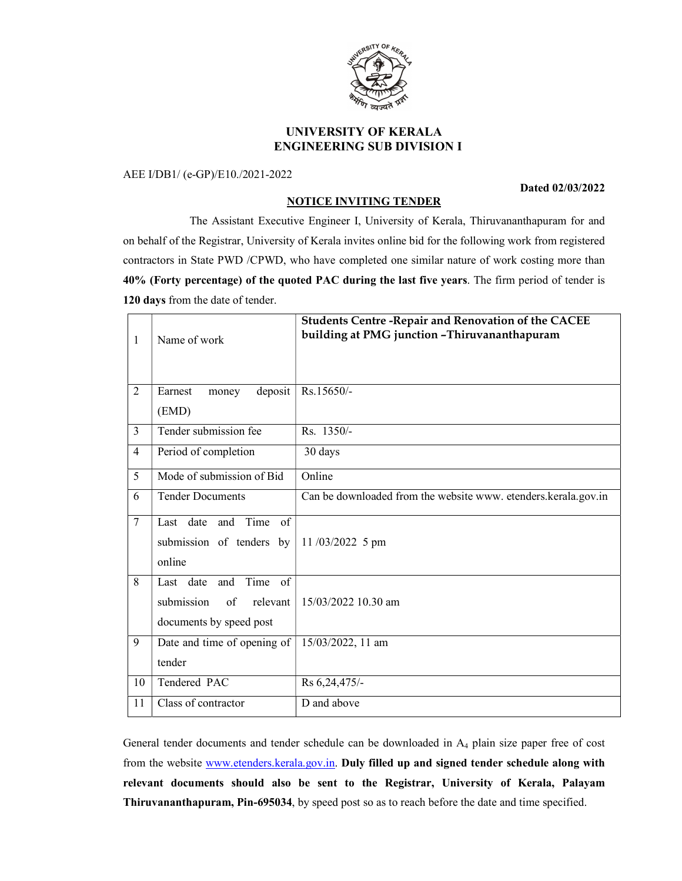

# UNIVERSITY OF KERALA ENGINEERING SUB DIVISION I

### AEE I/DB1/ (e-GP)/E10./2021-2022

#### Dated 02/03/2022

## NOTICE INVITING TENDER

 The Assistant Executive Engineer I, University of Kerala, Thiruvananthapuram for and on behalf of the Registrar, University of Kerala invites online bid for the following work from registered contractors in State PWD /CPWD, who have completed one similar nature of work costing more than 40% (Forty percentage) of the quoted PAC during the last five years. The firm period of tender is 120 days from the date of tender.

| 1              | Name of work                                                                        | <b>Students Centre - Repair and Renovation of the CACEE</b><br>building at PMG junction - Thiruvananthapuram |
|----------------|-------------------------------------------------------------------------------------|--------------------------------------------------------------------------------------------------------------|
| $\overline{2}$ | deposit<br>Earnest<br>money                                                         | Rs.15650/-                                                                                                   |
|                | (EMD)                                                                               |                                                                                                              |
| 3              | Tender submission fee                                                               | Rs. 1350/-                                                                                                   |
| 4              | Period of completion                                                                | 30 days                                                                                                      |
| 5              | Mode of submission of Bid                                                           | Online                                                                                                       |
| 6              | <b>Tender Documents</b>                                                             | Can be downloaded from the website www. etenders.kerala.gov.in                                               |
| $\tau$         | Last date and Time<br>of<br>submission of tenders by<br>online                      | $11/03/2022$ 5 pm                                                                                            |
| 8              | Time of<br>Last date and<br>submission<br>relevant<br>of<br>documents by speed post | 15/03/2022 10.30 am                                                                                          |
| 9              | Date and time of opening of<br>tender                                               | 15/03/2022, 11 am                                                                                            |
| 10             | Tendered PAC                                                                        | Rs 6,24,475/-                                                                                                |
| 11             | Class of contractor                                                                 | D and above                                                                                                  |

General tender documents and tender schedule can be downloaded in A4 plain size paper free of cost from the website www.etenders.kerala.gov.in. Duly filled up and signed tender schedule along with relevant documents should also be sent to the Registrar, University of Kerala, Palayam Thiruvananthapuram, Pin-695034, by speed post so as to reach before the date and time specified.